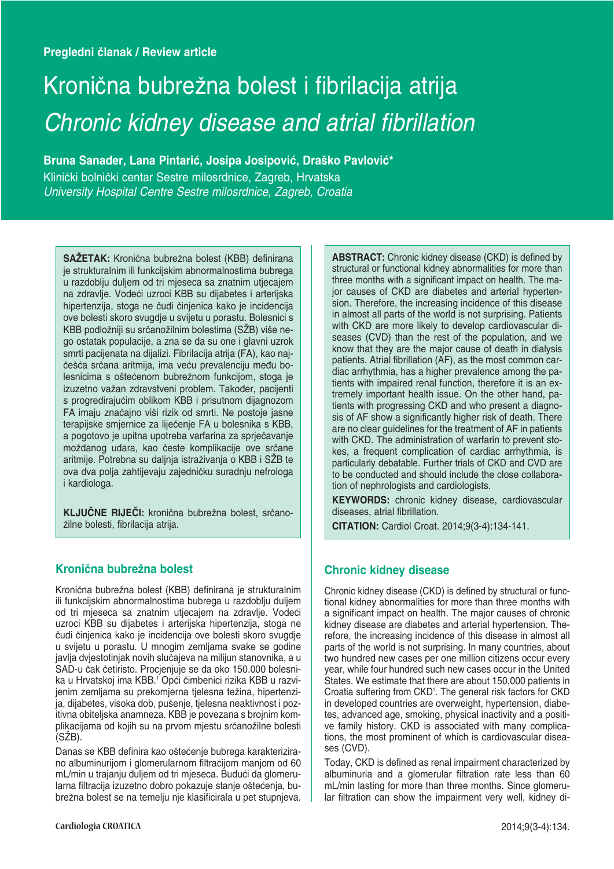# Kronična bubrežna bolest i fibrilacija atrija Chronic kidney disease and atrial fibrillation

Bruna Sanader, Lana Pintarić, Josipa Josipović, Draško Pavlović\*

KliniËki bolniËki centar Sestre milosrdnice, Zagreb, Hrvatska University Hospital Centre Sestre milosrdnice, Zagreb, Croatia

SAŽETAK: Kronična bubrežna bolest (KBB) definirana je strukturalnim ili funkcijskim abnormalnostima bubrega u razdoblju duljem od tri mjeseca sa znatnim utjecajem na zdravlje. Vodeći uzroci KBB su dijabetes i arterijska hipertenzija, stoga ne čudi činjenica kako je incidencija ove bolesti skoro svugdje u svijetu u porastu. Bolesnici s KBB podložniji su srčanožilnim bolestima (SŽB) više nego ostatak populacije, a zna se da su one i glavni uzrok smrti pacijenata na dijalizi. Fibrilacija atrija (FA), kao najčešća srčana aritmija, ima veću prevalenciju među bolesnicima s oštećenom bubrežnom funkcijom, stoga je izuzetno važan zdravstveni problem. Također, pacijenti s progredirajućim oblikom KBB i prisutnom dijagnozom FA imaju značajno viši rizik od smrti. Ne postoje jasne terapijske smjernice za liječenje FA u bolesnika s KBB, a pogotovo je upitna upotreba varfarina za sprjeËavanje moždanog udara, kao česte komplikacije ove srčane aritmije. Potrebna su daljnja istraživanja o KBB i SŽB te ova dva polja zahtijevaju zajedniËku suradnju nefrologa i kardiologa.

KLJUČNE RIJEČI: kronična bubrežna bolest, srčanožilne bolesti, fibrilacija atrija.

## **KroniËna bubreæna bolest**

Kronična bubrežna bolest (KBB) definirana je strukturalnim ili funkcijskim abnormalnostima bubrega u razdoblju duljem od tri mjeseca sa znatnim utjecajem na zdravlje. Vodeći uzroci KBB su dijabetes i arterijska hipertenzija, stoga ne Ëudi Ëinjenica kako je incidencija ove bolesti skoro svugdje u svijetu u porastu. U mnogim zemljama svake se godine javlja dvjestotinjak novih slučajeva na milijun stanovnika, a u SAD-u Ëak Ëetiristo. Procjenjuje se da oko 150.000 bolesnika u Hrvatskoj ima KBB.<sup>1</sup> Opći čimbenici rizika KBB u razvijenim zemljama su prekomjerna tjelesna težina, hipertenzija, dijabetes, visoka dob, pušenje, tjelesna neaktivnost i pozitivna obiteljska anamneza. KBB je povezana s brojnim komplikacijama od kojih su na prvom mjestu srčanožilne bolesti  $(SZB)$ .

Danas se KBB definira kao oštećenje bubrega karakterizirano albuminurijom i glomerularnom filtracijom manjom od 60 mL/min u trajanju duljem od tri mjeseca. Budući da glomerularna filtracija izuzetno dobro pokazuje stanje oštećenja, bubrežna bolest se na temelju nje klasificirala u pet stupnjeva. **ABSTRACT:** Chronic kidney disease (CKD) is defined by structural or functional kidney abnormalities for more than three months with a significant impact on health. The major causes of CKD are diabetes and arterial hypertension. Therefore, the increasing incidence of this disease in almost all parts of the world is not surprising. Patients with CKD are more likely to develop cardiovascular diseases (CVD) than the rest of the population, and we know that they are the major cause of death in dialysis patients. Atrial fibrillation (AF), as the most common cardiac arrhythmia, has a higher prevalence among the patients with impaired renal function, therefore it is an extremely important health issue. On the other hand, patients with progressing CKD and who present a diagnosis of AF show a significantly higher risk of death. There are no clear guidelines for the treatment of AF in patients with CKD. The administration of warfarin to prevent stokes, a frequent complication of cardiac arrhythmia, is particularly debatable. Further trials of CKD and CVD are to be conducted and should include the close collaboration of nephrologists and cardiologists.

**KEYWORDS:** chronic kidney disease, cardiovascular diseases, atrial fibrillation.

**CITATION:** Cardiol Croat. 2014;9(3-4):134-141.

## **Chronic kidney disease**

Chronic kidney disease (CKD) is defined by structural or functional kidney abnormalities for more than three months with a significant impact on health. The major causes of chronic kidney disease are diabetes and arterial hypertension. Therefore, the increasing incidence of this disease in almost all parts of the world is not surprising. In many countries, about two hundred new cases per one million citizens occur every year, while four hundred such new cases occur in the United States. We estimate that there are about 150,000 patients in Croatia suffering from CKD<sup>1</sup>. The general risk factors for CKD in developed countries are overweight, hypertension, diabetes, advanced age, smoking, physical inactivity and a positive family history. CKD is associated with many complications, the most prominent of which is cardiovascular diseases (CVD).

Today, CKD is defined as renal impairment characterized by albuminuria and a glomerular filtration rate less than 60 mL/min lasting for more than three months. Since glomerular filtration can show the impairment very well, kidney di-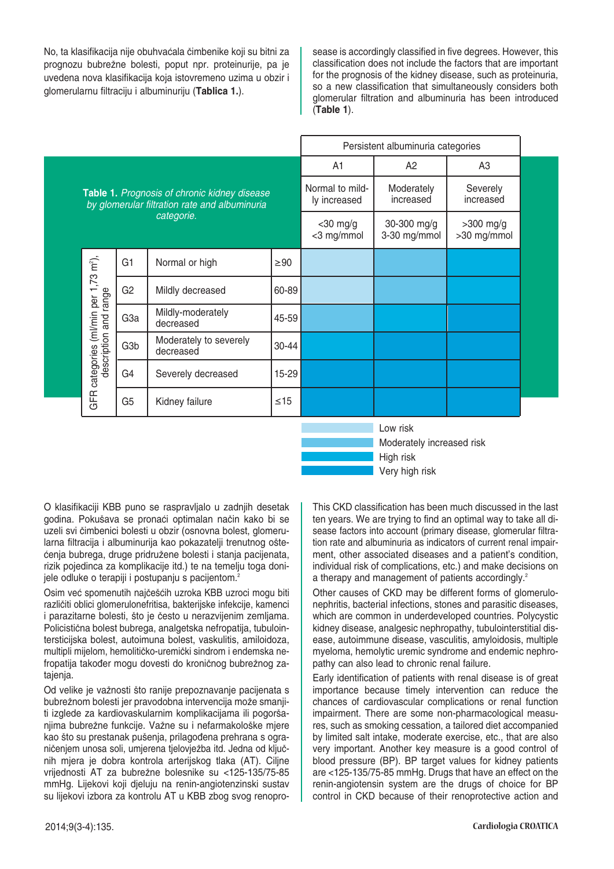No, ta klasifikacija nije obuhvaćala čimbenike koji su bitni za prognozu bubrežne bolesti, poput npr. proteinurije, pa je uvedena nova klasifikacija koja istovremeno uzima u obzir i glomerularnu filtraciju i albuminuriju (**Tablica 1.**).

sease is accordingly classified in five degrees. However, this classification does not include the factors that are important for the prognosis of the kidney disease, such as proteinuria, so a new classification that simultaneously considers both glomerular filtration and albuminuria has been introduced (**Table 1**).

|                                               |                                                                                                             |                                     |           |                                 | Persistent albuminuria categories     |                          |  |
|-----------------------------------------------|-------------------------------------------------------------------------------------------------------------|-------------------------------------|-----------|---------------------------------|---------------------------------------|--------------------------|--|
|                                               |                                                                                                             |                                     |           | A <sub>1</sub>                  | A <sub>2</sub>                        | A <sub>3</sub>           |  |
|                                               | Table 1. Prognosis of chronic kidney disease<br>by glomerular filtration rate and albuminuria<br>categorie. |                                     |           | Normal to mild-<br>ly increased | Moderately<br>increased               | Severely<br>increased    |  |
|                                               |                                                                                                             |                                     |           | $<$ 30 mg/g<br><3 mg/mmol       | 30-300 mg/g<br>3-30 mg/mmol           | >300 mg/g<br>>30 mg/mmol |  |
|                                               | G <sub>1</sub>                                                                                              | Normal or high                      | $\geq 90$ |                                 |                                       |                          |  |
|                                               | G <sub>2</sub>                                                                                              | Mildly decreased                    | 60-89     |                                 |                                       |                          |  |
|                                               | G <sub>3a</sub>                                                                                             | Mildly-moderately<br>decreased      | 45-59     |                                 |                                       |                          |  |
| description and range                         | G <sub>3</sub> b                                                                                            | Moderately to severely<br>decreased | 30-44     |                                 |                                       |                          |  |
| categories (ml/min per 1,73 m <sup>2</sup> ), | G4                                                                                                          | Severely decreased                  | 15-29     |                                 |                                       |                          |  |
| GFR.                                          | G <sub>5</sub>                                                                                              | Kidney failure                      | $\leq 15$ |                                 |                                       |                          |  |
|                                               |                                                                                                             |                                     |           |                                 | Low risk<br>Moderately increased risk |                          |  |

Moderately increased risk High risk Very high risk

O klasifikaciji KBB puno se raspravljalo u zadnjih desetak godina. Pokušava se pronaći optimalan način kako bi se uzeli svi Ëimbenici bolesti u obzir (osnovna bolest, glomerularna filtracija i albuminurija kao pokazatelji trenutnog oštećenja bubrega, druge pridružene bolesti i stanja pacijenata, rizik pojedinca za komplikacije itd.) te na temelju toga donijele odluke o terapiji i postupanju s pacijentom.<sup>2</sup>

Osim već spomenutih najčešćih uzroka KBB uzroci mogu biti različiti oblici glomerulonefritisa, bakterijske infekcije, kamenci i parazitarne bolesti, što je često u nerazvijenim zemljama. Policistična bolest bubrega, analgetska nefropatija, tubulointersticijska bolest, autoimuna bolest, vaskulitis, amiloidoza, multipli mijelom, hemolitičko-uremički sindrom i endemska nefropatija također mogu dovesti do kroničnog bubrežnog zatajenja.

Od velike je važnosti što ranije prepoznavanje pacijenata s bubrežnom bolesti jer pravodobna intervencija može smanjiti izglede za kardiovaskularnim komplikacijama ili pogoršanjima bubrežne funkcije. Važne su i nefarmakološke mjere kao što su prestanak pušenja, prilagođena prehrana s ograničenjem unosa soli, umjerena tjelovježba itd. Jedna od ključnih mjera je dobra kontrola arterijskog tlaka (AT). Ciljne vrijednosti AT za bubrežne bolesnike su <125-135/75-85 mmHg. Lijekovi koji djeluju na renin-angiotenzinski sustav su lijekovi izbora za kontrolu AT u KBB zbog svog renoproThis CKD classification has been much discussed in the last ten years. We are trying to find an optimal way to take all disease factors into account (primary disease, glomerular filtration rate and albuminuria as indicators of current renal impairment, other associated diseases and a patient's condition, individual risk of complications, etc.) and make decisions on a therapy and management of patients accordingly.<sup>2</sup>

Other causes of CKD may be different forms of glomerulonephritis, bacterial infections, stones and parasitic diseases, which are common in underdeveloped countries. Polycystic kidney disease, analgesic nephropathy, tubulointerstitial disease, autoimmune disease, vasculitis, amyloidosis, multiple myeloma, hemolytic uremic syndrome and endemic nephropathy can also lead to chronic renal failure.

Early identification of patients with renal disease is of great importance because timely intervention can reduce the chances of cardiovascular complications or renal function impairment. There are some non-pharmacological measures, such as smoking cessation, a tailored diet accompanied by limited salt intake, moderate exercise, etc., that are also very important. Another key measure is a good control of blood pressure (BP). BP target values for kidney patients are <125-135/75-85 mmHg. Drugs that have an effect on the renin-angiotensin system are the drugs of choice for BP control in CKD because of their renoprotective action and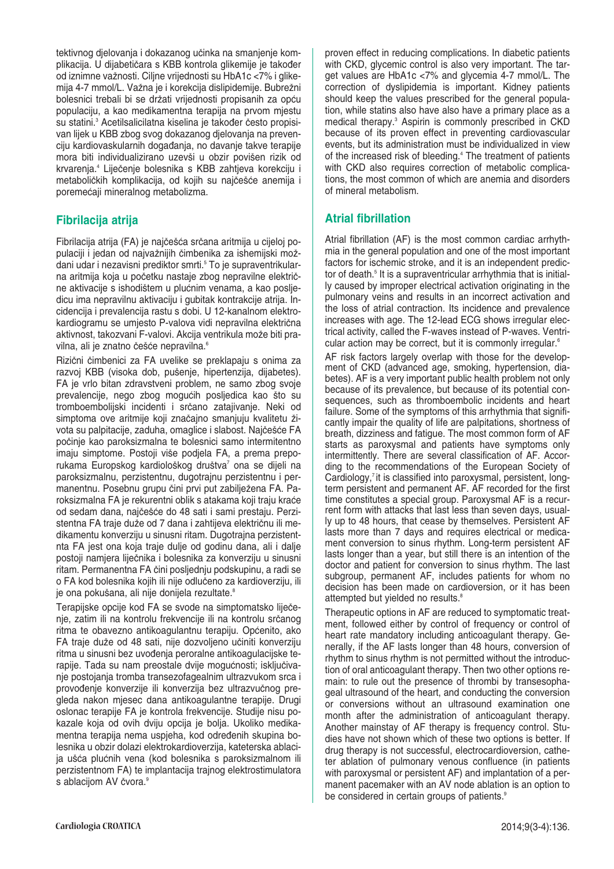tektivnog djelovanja i dokazanog učinka na smanjenje komplikacija. U dijabetičara s KBB kontrola glikemije je također od iznimne vaænosti. Ciljne vrijednosti su HbA1c <7% i glikemija 4-7 mmol/L. Važna je i korekcija dislipidemije. Bubrežni bolesnici trebali bi se držati vrijednosti propisanih za opću populaciju, a kao medikamentna terapija na prvom mjestu su statini.<sup>3</sup> Acetilsalicilatna kiselina je također često propisivan lijek u KBB zbog svog dokazanog djelovanja na prevenciju kardiovaskularnih događanja, no davanje takve terapije mora biti individualizirano uzevši u obzir povišen rizik od krvarenja.4 LijeËenje bolesnika s KBB zahtjeva korekciju i metaboličkih komplikacija, od kojih su najčešće anemija i poremećaji mineralnog metabolizma.

## **Fibrilacija atrija**

Fibrilacija atrija (FA) je najčešća srčana aritmija u cijeloj populaciji i jedan od najvažnijih čimbenika za ishemijski moždani udar i nezavisni prediktor smrti.<sup>5</sup> To je supraventrikularna aritmija koja u poËetku nastaje zbog nepravilne elektriËne aktivacije s ishodištem u plućnim venama, a kao posljedicu ima nepravilnu aktivaciju i gubitak kontrakcije atrija. Incidencija i prevalencija rastu s dobi. U 12-kanalnom elektrokardiogramu se umjesto P-valova vidi nepravilna električna aktivnost, takozvani F-valovi. Akcija ventrikula može biti pravilna, ali je znatno češće nepravilna.<sup>6</sup>

RiziËni Ëimbenici za FA uvelike se preklapaju s onima za razvoj KBB (visoka dob, pušenje, hipertenzija, dijabetes). FA je vrlo bitan zdravstveni problem, ne samo zbog svoje prevalencije, nego zbog mogućih posljedica kao što su tromboembolijski incidenti i srËano zatajivanje. Neki od simptoma ove aritmije koji značajno smanjuju kvalitetu života su palpitacije, zaduha, omaglice i slabost. Najčešće FA poËinje kao paroksizmalna te bolesnici samo intermitentno imaju simptome. Postoji više podjela FA, a prema preporukama Europskog kardiološkog društva<sup>7</sup> ona se dijeli na paroksizmalnu, perzistentnu, dugotrajnu perzistentnu i permanentnu. Posebnu grupu Ëini prvi put zabiljeæena FA. Paroksizmalna FA je rekurentni oblik s atakama koji traju kraće od sedam dana, najčešće do 48 sati i sami prestaju. Perzistentna FA traje duže od 7 dana i zahtijeva električnu ili medikamentu konverziju u sinusni ritam. Dugotrajna perzistentnta FA jest ona koja traje dulje od godinu dana, ali i dalje postoji namjera lijeËnika i bolesnika za konverziju u sinusni ritam. Permanentna FA Ëini posljednju podskupinu, a radi se o FA kod bolesnika kojih ili nije odluËeno za kardioverziju, ili je ona pokušana, ali nije donijela rezultate.<sup>8</sup>

Terapijske opcije kod FA se svode na simptomatsko liječenje, zatim ili na kontrolu frekvencije ili na kontrolu srčanog ritma te obavezno antikoagulantnu terapiju. Općenito, ako FA traje duže od 48 sati, nije dozvoljeno učiniti konverziju ritma u sinusni bez uvođenja peroralne antikoagulacijske terapije. Tada su nam preostale dvije mogućnosti; isključivanje postojanja tromba transezofagealnim ultrazvukom srca i provođenje konverzije ili konverzija bez ultrazvučnog pregleda nakon mjesec dana antikoagulantne terapije. Drugi oslonac terapije FA je kontrola frekvencije. Studije nisu pokazale koja od ovih dviju opcija je bolja. Ukoliko medikamentna terapija nema uspjeha, kod određenih skupina bolesnika u obzir dolazi elektrokardioverzija, kateterska ablacija ušća plućnih vena (kod bolesnika s paroksizmalnom ili perzistentnom FA) te implantacija trajnog elektrostimulatora s ablacijom AV čvora.<sup>9</sup>

proven effect in reducing complications. In diabetic patients with CKD, glycemic control is also very important. The target values are HbA1c <7% and glycemia 4-7 mmol/L. The correction of dyslipidemia is important. Kidney patients should keep the values prescribed for the general population, while statins also have also have a primary place as a medical therapy.<sup>3</sup> Aspirin is commonly prescribed in CKD because of its proven effect in preventing cardiovascular events, but its administration must be individualized in view of the increased risk of bleeding.<sup>4</sup> The treatment of patients with CKD also requires correction of metabolic complications, the most common of which are anemia and disorders of mineral metabolism.

## **Atrial fibrillation**

Atrial fibrillation (AF) is the most common cardiac arrhythmia in the general population and one of the most important factors for ischemic stroke, and it is an independent predictor of death.<sup>5</sup> It is a supraventricular arrhythmia that is initially caused by improper electrical activation originating in the pulmonary veins and results in an incorrect activation and the loss of atrial contraction. Its incidence and prevalence increases with age. The 12-lead ECG shows irregular electrical activity, called the F-waves instead of P-waves. Ventricular action may be correct, but it is commonly irregular.<sup>6</sup>

AF risk factors largely overlap with those for the development of CKD (advanced age, smoking, hypertension, diabetes). AF is a very important public health problem not only because of its prevalence, but because of its potential consequences, such as thromboembolic incidents and heart failure. Some of the symptoms of this arrhythmia that significantly impair the quality of life are palpitations, shortness of breath, dizziness and fatigue. The most common form of AF starts as paroxysmal and patients have symptoms only intermittently. There are several classification of AF. According to the recommendations of the European Society of Cardiology, $<sup>7</sup>$  it is classified into paroxysmal, persistent, long-</sup> term persistent and permanent AF. AF recorded for the first time constitutes a special group. Paroxysmal AF is a recurrent form with attacks that last less than seven days, usually up to 48 hours, that cease by themselves. Persistent AF lasts more than 7 days and requires electrical or medicament conversion to sinus rhythm. Long-term persistent AF lasts longer than a year, but still there is an intention of the doctor and patient for conversion to sinus rhythm. The last subgroup, permanent AF, includes patients for whom no decision has been made on cardioversion, or it has been attempted but yielded no results.<sup>8</sup>

Therapeutic options in AF are reduced to symptomatic treatment, followed either by control of frequency or control of heart rate mandatory including anticoagulant therapy. Generally, if the AF lasts longer than 48 hours, conversion of rhythm to sinus rhythm is not permitted without the introduction of oral anticoagulant therapy. Then two other options remain: to rule out the presence of thrombi by transesophageal ultrasound of the heart, and conducting the conversion or conversions without an ultrasound examination one month after the administration of anticoagulant therapy. Another mainstay of AF therapy is frequency control. Studies have not shown which of these two options is better. If drug therapy is not successful, electrocardioversion, catheter ablation of pulmonary venous confluence (in patients with paroxysmal or persistent AF) and implantation of a permanent pacemaker with an AV node ablation is an option to be considered in certain groups of patients.<sup>9</sup>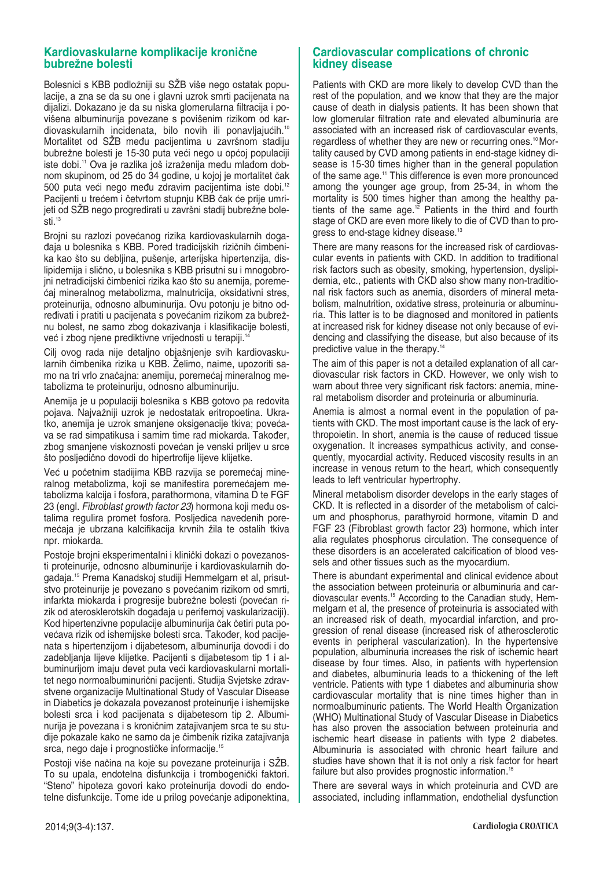#### **Kardiovaskularne komplikacije kroniËne bubreæne bolesti**

Bolesnici s KBB podložniji su SŽB više nego ostatak populacije, a zna se da su one i glavni uzrok smrti pacijenata na dijalizi. Dokazano je da su niska glomerularna filtracija i povišena albuminurija povezane s povišenim rizikom od kardiovaskularnih incidenata, bilo novih ili ponavljajućih.<sup>10</sup> Mortalitet od SŽB među pacijentima u završnom stadiju bubrežne bolesti je 15-30 puta veći nego u općoj populaciji iste dobi.<sup>11</sup> Ova je razlika još izraženija među mlađom dobnom skupinom, od 25 do 34 godine, u kojoj je mortalitet Ëak 500 puta veći nego među zdravim pacijentima iste dobi.<sup>12</sup> Pacijenti u trećem i četvrtom stupnju KBB čak će prije umrijeti od SŽB nego progredirati u završni stadij bubrežne bolesti.<sup>13</sup>

Brojni su razlozi povećanog rizika kardiovaskularnih dogadaja u bolesnika s KBB. Pored tradicijskih rizičnih čimbenika kao što su debljina, pušenje, arterijska hipertenzija, dislipidemija i slično, u bolesnika s KBB prisutni su i mnogobrojni netradicijski čimbenici rizika kao što su anemija, poreme-Êaj mineralnog metabolizma, malnutricija, oksidativni stres, proteinurija, odnosno albuminurija. Ovu potonju je bitno određivati i pratiti u pacijenata s povećanim rizikom za bubrežnu bolest, ne samo zbog dokazivanja i klasifikacije bolesti, već i zbog njene prediktivne vrijednosti u terapiji.<sup>14</sup>

Cilj ovog rada nije detaljno objašnjenje svih kardiovaskularnih Ëimbenika rizika u KBB. Æelimo, naime, upozoriti samo na tri vrlo značajna: anemiju, poremećaj mineralnog metabolizma te proteinuriju, odnosno albuminuriju.

Anemija je u populaciji bolesnika s KBB gotovo pa redovita pojava. Najvažniji uzrok je nedostatak eritropoetina. Ukratko, anemija je uzrok smanjene oksigenacije tkiva; povećava se rad simpatikusa i samim time rad miokarda. Također, zbog smanjene viskoznosti povećan je venski priljev u srce što posljedično dovodi do hipertrofije lijeve klijetke.

Već u početnim stadijima KBB razvija se poremećaj mineralnog metabolizma, koji se manifestira poremećajem metabolizma kalcija i fosfora, parathormona, vitamina D te FGF 23 (engl. Fibroblast growth factor 23) hormona koji među ostalima regulira promet fosfora. Posljedica navedenih poremećaja je ubrzana kalcifikacija krvnih žila te ostalih tkiva npr. miokarda.

Postoje brojni eksperimentalni i klinički dokazi o povezanosti proteinurije, odnosno albuminurije i kardiovaskularnih događaja.<sup>15</sup> Prema Kanadskoj studiji Hemmelgarn et al, prisutstvo proteinurije je povezano s povećanim rizikom od smrti, infarkta miokarda i progresije bubrežne bolesti (povećan rizik od aterosklerotskih događaja u perifernoj vaskularizaciji). Kod hipertenzivne populacije albuminurija Ëak Ëetiri puta povećava rizik od ishemijske bolesti srca. Također, kod pacijenata s hipertenzijom i dijabetesom, albuminurija dovodi i do zadebljanja lijeve klijetke. Pacijenti s dijabetesom tip 1 i albuminurijom imaju devet puta veći kardiovaskularni mortalitet nego normoalbuminurični pacijenti. Studija Svjetske zdravstvene organizacije Multinational Study of Vascular Disease in Diabetics je dokazala povezanost proteinurije i ishemijske bolesti srca i kod pacijenata s dijabetesom tip 2. Albuminurija je povezana i s kroničnim zatajivanjem srca te su studije pokazale kako ne samo da je Ëimbenik rizika zatajivanja srca, nego daje i prognostičke informacije.<sup>15</sup>

Postoji više načina na koje su povezane proteinurija i SŽB. To su upala, endotelna disfunkcija i trombogenički faktori. "Steno" hipoteza govori kako proteinurija dovodi do endotelne disfunkcije. Tome ide u prilog povećanje adiponektina,

#### **Cardiovascular complications of chronic kidney disease**

Patients with CKD are more likely to develop CVD than the rest of the population, and we know that they are the major cause of death in dialysis patients. It has been shown that low glomerular filtration rate and elevated albuminuria are associated with an increased risk of cardiovascular events, regardless of whether they are new or recurring ones.<sup>10</sup> Mortality caused by CVD among patients in end-stage kidney disease is 15-30 times higher than in the general population of the same age.11 This difference is even more pronounced among the younger age group, from 25-34, in whom the mortality is 500 times higher than among the healthy patients of the same age.12 Patients in the third and fourth stage of CKD are even more likely to die of CVD than to progress to end-stage kidney disease.<sup>13</sup>

There are many reasons for the increased risk of cardiovascular events in patients with CKD. In addition to traditional risk factors such as obesity, smoking, hypertension, dyslipidemia, etc., patients with CKD also show many non-traditional risk factors such as anemia, disorders of mineral metabolism, malnutrition, oxidative stress, proteinuria or albuminuria. This latter is to be diagnosed and monitored in patients at increased risk for kidney disease not only because of evidencing and classifying the disease, but also because of its predictive value in the therapy.14

The aim of this paper is not a detailed explanation of all cardiovascular risk factors in CKD. However, we only wish to warn about three very significant risk factors: anemia, mineral metabolism disorder and proteinuria or albuminuria.

Anemia is almost a normal event in the population of patients with CKD. The most important cause is the lack of erythropoietin. In short, anemia is the cause of reduced tissue oxygenation. It increases sympathicus activity, and consequently, myocardial activity. Reduced viscosity results in an increase in venous return to the heart, which consequently leads to left ventricular hypertrophy.

Mineral metabolism disorder develops in the early stages of CKD. It is reflected in a disorder of the metabolism of calcium and phosphorus, parathyroid hormone, vitamin D and FGF 23 (Fibroblast growth factor 23) hormone, which inter alia regulates phosphorus circulation. The consequence of these disorders is an accelerated calcification of blood vessels and other tissues such as the myocardium.

There is abundant experimental and clinical evidence about the association between proteinuria or albuminuria and cardiovascular events.15 According to the Canadian study, Hemmelgarn et al, the presence of proteinuria is associated with an increased risk of death, myocardial infarction, and progression of renal disease (increased risk of atherosclerotic events in peripheral vascularization). In the hypertensive population, albuminuria increases the risk of ischemic heart disease by four times. Also, in patients with hypertension and diabetes, albuminuria leads to a thickening of the left ventricle. Patients with type 1 diabetes and albuminuria show cardiovascular mortality that is nine times higher than in normoalbuminuric patients. The World Health Organization (WHO) Multinational Study of Vascular Disease in Diabetics has also proven the association between proteinuria and ischemic heart disease in patients with type 2 diabetes. Albuminuria is associated with chronic heart failure and studies have shown that it is not only a risk factor for heart failure but also provides prognostic information.<sup>15</sup>

There are several ways in which proteinuria and CVD are associated, including inflammation, endothelial dysfunction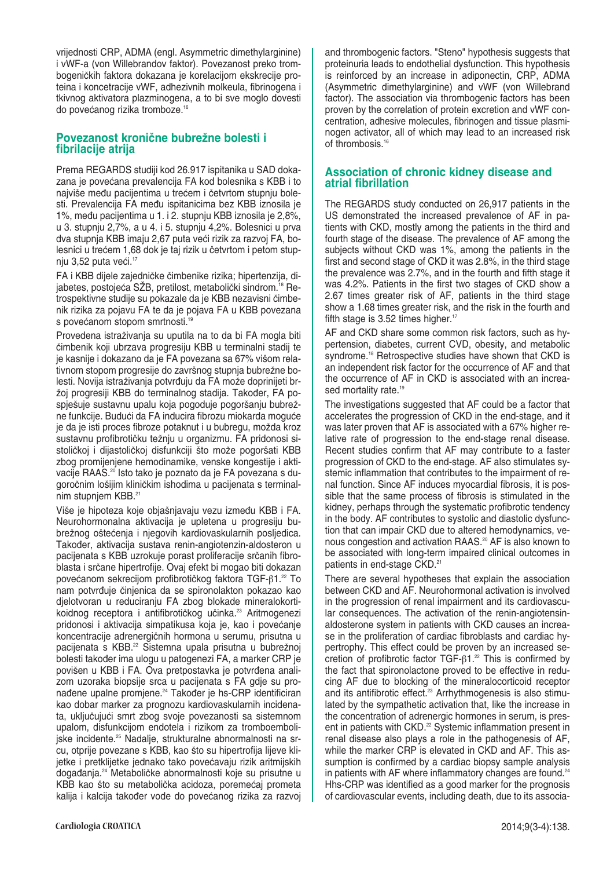vrijednosti CRP, ADMA (engl. Asymmetric dimethylarginine) i vWF-a (von Willebrandov faktor). Povezanost preko trombogeniËkih faktora dokazana je korelacijom ekskrecije proteina i koncetracije vWF, adhezivnih molkeula, fibrinogena i tkivnog aktivatora plazminogena, a to bi sve moglo dovesti do povećanog rizika tromboze.<sup>16</sup>

### Povezanost kronične bubrežne bolesti i **fibrilacije atrija**

Prema REGARDS studiji kod 26.917 ispitanika u SAD dokazana je povećana prevalencija FA kod bolesnika s KBB i to najviše među pacijentima u trećem i četvrtom stupnju bolesti. Prevalencija FA među ispitanicima bez KBB iznosila je 1%, među pacijentima u 1. i 2. stupnju KBB iznosila je 2,8%, u 3. stupnju 2,7%, a u 4. i 5. stupnju 4,2%. Bolesnici u prva dva stupnja KBB imaju 2,67 puta veći rizik za razvoj FA, bolesnici u trećem 1,68 dok je taj rizik u četvrtom i petom stupnju  $3,52$  puta veći.<sup>17</sup>

FA i KBB dijele zajedničke čimbenike rizika; hipertenzija, dijabetes, postojeća SŽB, pretilost, metabolički sindrom.<sup>18</sup> Retrospektivne studije su pokazale da je KBB nezavisni Ëimbenik rizika za pojavu FA te da je pojava FA u KBB povezana s povećanom stopom smrtnosti.<sup>19</sup>

Provedena istraæivanja su uputila na to da bi FA mogla biti Ëimbenik koji ubrzava progresiju KBB u terminalni stadij te je kasnije i dokazano da je FA povezana sa 67% višom relativnom stopom progresije do završnog stupnja bubrežne bolesti. Novija istraživanja potvrđuju da FA može doprinijeti bržoj progresiji KBB do terminalnog stadija. Također, FA pospješuje sustavnu upalu koja pogoduje pogoršanju bubrežne funkcije. Budući da FA inducira fibrozu miokarda moguće je da je isti proces fibroze potaknut i u bubregu, možda kroz sustavnu profibrotičku težnju u organizmu. FA pridonosi sistoličkoj i dijastoličkoj disfunkciji što može pogoršati KBB zbog promijenjene hemodinamike, venske kongestije i aktivacije RAAS.<sup>20</sup> Isto tako je poznato da je FA povezana s dugoročnim lošijim kliničkim ishodima u pacijenata s terminalnim stupnjem KBB.<sup>21</sup>

Više je hipoteza koje objašnjavaju vezu između KBB i FA. Neurohormonalna aktivacija je upletena u progresiju bubrežnog oštećenja i njegovih kardiovaskularnih posljedica. Također, aktivacija sustava renin-angiotenzin-aldosteron u pacijenata s KBB uzrokuje porast proliferacije srčanih fibroblasta i srËane hipertrofije. Ovaj efekt bi mogao biti dokazan povećanom sekrecijom profibrotičkog faktora TGF-β1.<sup>22</sup> To nam potvrđuje činjenica da se spironolakton pokazao kao djelotvoran u reduciranju FA zbog blokade mineralokortikoidnog receptora i antifibrotičkog učinka.<sup>23</sup> Aritmogenezi pridonosi i aktivacija simpatikusa koja je, kao i povećanje koncentracije adrenergičnih hormona u serumu, prisutna u pacijenata s KBB.<sup>22</sup> Sistemna upala prisutna u bubrežnoj bolesti također ima ulogu u patogenezi FA, a marker CRP je povišen u KBB i FA. Ova pretpostavka je potvrđena analizom uzoraka biopsije srca u pacijenata s FA gdje su pronađene upalne promjene.<sup>24</sup> Također je hs-CRP identificiran kao dobar marker za prognozu kardiovaskularnih incidenata, uključujući smrt zbog svoje povezanosti sa sistemnom upalom, disfunkcijom endotela i rizikom za tromboembolijske incidente.<sup>25</sup> Nadalje, strukturalne abnormalnosti na srcu, otprije povezane s KBB, kao što su hipertrofija lijeve klijetke i pretklijetke jednako tako povećavaju rizik aritmijskih događanja.<sup>24</sup> Metaboličke abnormalnosti koje su prisutne u KBB kao što su metabolička acidoza, poremećaj prometa kalija i kalcija također vode do povećanog rizika za razvoj and thrombogenic factors. "Steno" hypothesis suggests that proteinuria leads to endothelial dysfunction. This hypothesis is reinforced by an increase in adiponectin, CRP, ADMA (Asymmetric dimethylarginine) and vWF (von Willebrand factor). The association via thrombogenic factors has been proven by the correlation of protein excretion and vWF concentration, adhesive molecules, fibrinogen and tissue plasminogen activator, all of which may lead to an increased risk of thrombosis.<sup>16</sup>

#### **Association of chronic kidney disease and atrial fibrillation**

The REGARDS study conducted on 26,917 patients in the US demonstrated the increased prevalence of AF in patients with CKD, mostly among the patients in the third and fourth stage of the disease. The prevalence of AF among the subjects without CKD was 1%, among the patients in the first and second stage of CKD it was 2.8%, in the third stage the prevalence was 2.7%, and in the fourth and fifth stage it was 4.2%. Patients in the first two stages of CKD show a 2.67 times greater risk of AF, patients in the third stage show a 1.68 times greater risk, and the risk in the fourth and fifth stage is 3.52 times higher.<sup>17</sup>

AF and CKD share some common risk factors, such as hypertension, diabetes, current CVD, obesity, and metabolic syndrome.<sup>18</sup> Retrospective studies have shown that CKD is an independent risk factor for the occurrence of AF and that the occurrence of AF in CKD is associated with an increased mortality rate.<sup>19</sup>

The investigations suggested that AF could be a factor that accelerates the progression of CKD in the end-stage, and it was later proven that AF is associated with a 67% higher relative rate of progression to the end-stage renal disease. Recent studies confirm that AF may contribute to a faster progression of CKD to the end-stage. AF also stimulates systemic inflammation that contributes to the impairment of renal function. Since AF induces myocardial fibrosis, it is possible that the same process of fibrosis is stimulated in the kidney, perhaps through the systematic profibrotic tendency in the body. AF contributes to systolic and diastolic dysfunction that can impair CKD due to altered hemodynamics, venous congestion and activation RAAS.<sup>20</sup> AF is also known to be associated with long-term impaired clinical outcomes in patients in end-stage CKD.<sup>21</sup>

There are several hypotheses that explain the association between CKD and AF. Neurohormonal activation is involved in the progression of renal impairment and its cardiovascular consequences. The activation of the renin-angiotensinaldosterone system in patients with CKD causes an increase in the proliferation of cardiac fibroblasts and cardiac hypertrophy. This effect could be proven by an increased secretion of profibrotic factor  $TGF-<sub>1</sub>$ <sup>22</sup> This is confirmed by the fact that spironolactone proved to be effective in reducing AF due to blocking of the mineralocorticoid receptor and its antifibrotic effect.<sup>23</sup> Arrhythmogenesis is also stimulated by the sympathetic activation that, like the increase in the concentration of adrenergic hormones in serum, is present in patients with CKD.<sup>22</sup> Systemic inflammation present in renal disease also plays a role in the pathogenesis of AF, while the marker CRP is elevated in CKD and AF. This assumption is confirmed by a cardiac biopsy sample analysis in patients with AF where inflammatory changes are found.<sup>24</sup> Hhs-CRP was identified as a good marker for the prognosis of cardiovascular events, including death, due to its associa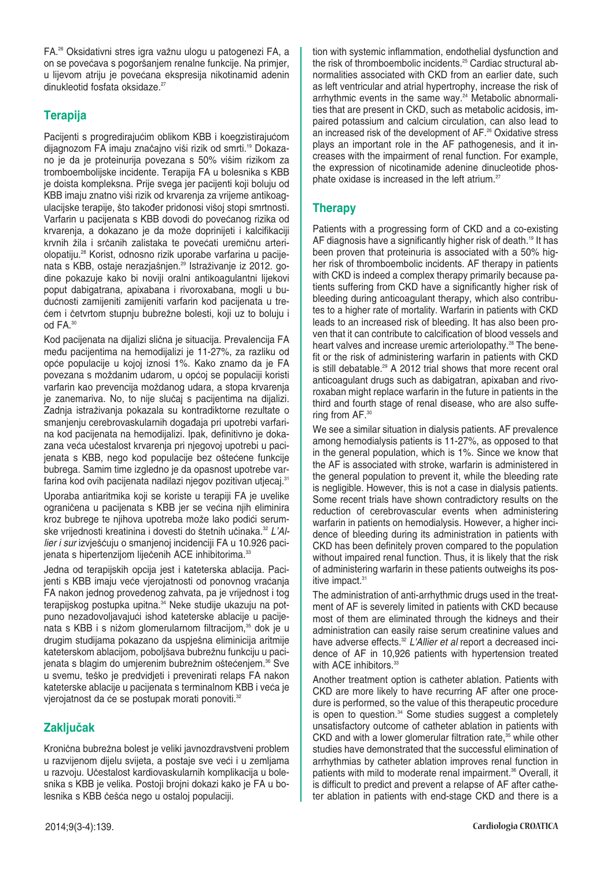FA.26 Oksidativni stres igra vaænu ulogu u patogenezi FA, a on se povećava s pogoršanjem renalne funkcije. Na primjer, u lijevom atriju je povećana ekspresija nikotinamid adenin dinukleotid fosfata oksidaze.<sup>27</sup>

## **Terapija**

Pacijenti s progredirajućim oblikom KBB i koegzistirajućom dijagnozom FA imaju značajno viši rizik od smrti.<sup>19</sup> Dokazano je da je proteinurija povezana s 50% višim rizikom za tromboembolijske incidente. Terapija FA u bolesnika s KBB je doista kompleksna. Prije svega jer pacijenti koji boluju od KBB imaju znatno viši rizik od krvarenja za vrijeme antikoagulacijske terapije, što također pridonosi višoj stopi smrtnosti. Varfarin u pacijenata s KBB dovodi do povećanog rizika od krvarenja, a dokazano je da može doprinijeti i kalcifikaciji krvnih žila i srčanih zalistaka te povećati uremičnu arteriolopatiju.28 Korist, odnosno rizik uporabe varfarina u pacijenata s KBB, ostaje nerazjašnjen.<sup>29</sup> Istraživanje iz 2012. godine pokazuje kako bi noviji oralni antikoagulantni lijekovi poput dabigatrana, apixabana i rivoroxabana, mogli u budućnosti zamijeniti zamijeniti varfarin kod pacijenata u trećem i četvrtom stupnju bubrežne bolesti, koji uz to boluju i od FA.30

Kod pacijenata na dijalizi slična je situacija. Prevalencija FA među pacijentima na hemodijalizi je 11-27%, za razliku od opće populacije u kojoj iznosi 1%. Kako znamo da je FA povezana s moždanim udarom, u općoj se populaciji koristi varfarin kao prevencija moždanog udara, a stopa krvarenja je zanemariva. No, to nije slučaj s pacijentima na dijalizi. Zadnja istraživanja pokazala su kontradiktorne rezultate o smanjenju cerebrovaskularnih događaja pri upotrebi varfarina kod pacijenata na hemodijalizi. Ipak, definitivno je dokazana veća učestalost krvarenja pri njegovoj upotrebi u pacijenata s KBB, nego kod populacije bez oštećene funkcije bubrega. Samim time izgledno je da opasnost upotrebe varfarina kod ovih pacijenata nadilazi njegov pozitivan utjecaj.<sup>31</sup>

Uporaba antiaritmika koji se koriste u terapiji FA je uvelike ograničena u pacijenata s KBB jer se većina njih eliminira kroz bubrege te njihova upotreba može lako podići serumske vrijednosti kreatinina i dovesti do štetnih učinaka.<sup>32</sup> L'Allier i sur izvješćuju o smanjenoj incidenciji FA u 10.926 pacijenata s hipertenzijom liječenih ACE inhibitorima.<sup>33</sup>

Jedna od terapijskih opcija jest i kateterska ablacija. Pacijenti s KBB imaju veće vjerojatnosti od ponovnog vraćanja FA nakon jednog provedenog zahvata, pa je vrijednost i tog terapijskog postupka upitna.34 Neke studije ukazuju na potpuno nezadovoljavajući ishod kateterske ablacije u pacijenata s KBB i s nižom glomerularnom filtracijom,<sup>35</sup> dok je u drugim studijama pokazano da uspješna eliminicija aritmije kateterskom ablacijom, poboljšava bubrežnu funkciju u pacijenata s blagim do umjerenim bubrežnim oštećenjem.<sup>36</sup> Sve u svemu, teško je predvidjeti i prevenirati relaps FA nakon kateterske ablacije u pacijenata s terminalnom KBB i veća je vjerojatnost da će se postupak morati ponoviti.<sup>32</sup>

## **ZakljuËak**

Kronična bubrežna bolest je veliki javnozdravstveni problem u razvijenom dijelu svijeta, a postaje sve veći i u zemljama u razvoju. UËestalost kardiovaskularnih komplikacija u bolesnika s KBB je velika. Postoji brojni dokazi kako je FA u bolesnika s KBB češća nego u ostaloj populaciji.

tion with systemic inflammation, endothelial dysfunction and the risk of thromboembolic incidents.25 Cardiac structural abnormalities associated with CKD from an earlier date, such as left ventricular and atrial hypertrophy, increase the risk of arrhythmic events in the same way.<sup>24</sup> Metabolic abnormalities that are present in CKD, such as metabolic acidosis, impaired potassium and calcium circulation, can also lead to an increased risk of the development of AF.<sup>26</sup> Oxidative stress plays an important role in the AF pathogenesis, and it increases with the impairment of renal function. For example, the expression of nicotinamide adenine dinucleotide phosphate oxidase is increased in the left atrium. $27$ 

## **Therapy**

Patients with a progressing form of CKD and a co-existing AF diagnosis have a significantly higher risk of death.<sup>19</sup> It has been proven that proteinuria is associated with a 50% higher risk of thromboembolic incidents. AF therapy in patients with CKD is indeed a complex therapy primarily because patients suffering from CKD have a significantly higher risk of bleeding during anticoagulant therapy, which also contributes to a higher rate of mortality. Warfarin in patients with CKD leads to an increased risk of bleeding. It has also been proven that it can contribute to calcification of blood vessels and heart valves and increase uremic arteriolopathy.<sup>28</sup> The benefit or the risk of administering warfarin in patients with CKD is still debatable.<sup>29</sup> A 2012 trial shows that more recent oral anticoagulant drugs such as dabigatran, apixaban and rivoroxaban might replace warfarin in the future in patients in the third and fourth stage of renal disease, who are also suffering from AF.<sup>30</sup>

We see a similar situation in dialysis patients. AF prevalence among hemodialysis patients is 11-27%, as opposed to that in the general population, which is 1%. Since we know that the AF is associated with stroke, warfarin is administered in the general population to prevent it, while the bleeding rate is negligible. However, this is not a case in dialysis patients. Some recent trials have shown contradictory results on the reduction of cerebrovascular events when administering warfarin in patients on hemodialysis. However, a higher incidence of bleeding during its administration in patients with CKD has been definitely proven compared to the population without impaired renal function. Thus, it is likely that the risk of administering warfarin in these patients outweighs its positive impact.<sup>31</sup>

The administration of anti-arrhythmic drugs used in the treatment of AF is severely limited in patients with CKD because most of them are eliminated through the kidneys and their administration can easily raise serum creatinine values and have adverse effects.<sup>32</sup> L'Allier et al report a decreased incidence of AF in 10,926 patients with hypertension treated with ACE inhibitors.<sup>33</sup>

Another treatment option is catheter ablation. Patients with CKD are more likely to have recurring AF after one procedure is performed, so the value of this therapeutic procedure is open to question.<sup>34</sup> Some studies suggest a completely unsatisfactory outcome of catheter ablation in patients with CKD and with a lower glomerular filtration rate, $35$  while other studies have demonstrated that the successful elimination of arrhythmias by catheter ablation improves renal function in patients with mild to moderate renal impairment.<sup>36</sup> Overall, it is difficult to predict and prevent a relapse of AF after catheter ablation in patients with end-stage CKD and there is a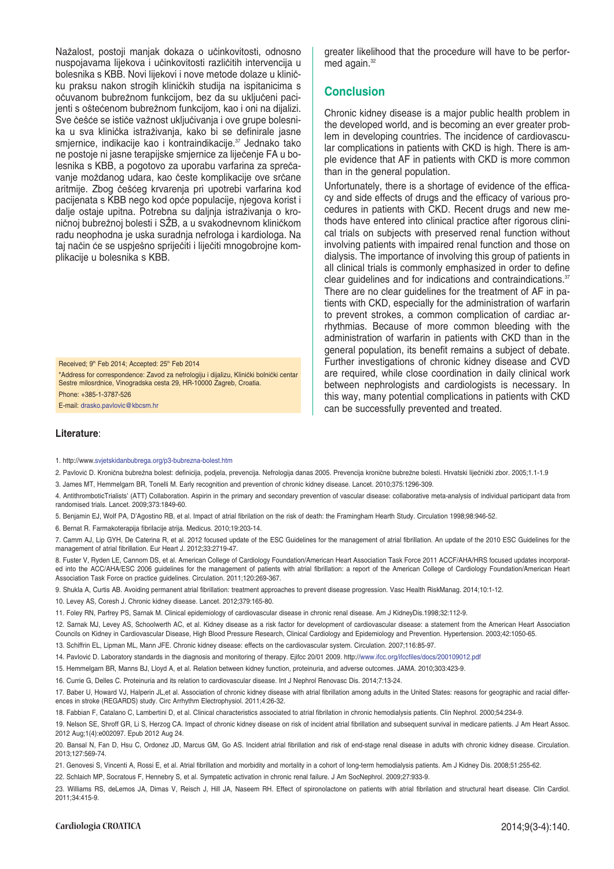Nažalost, postoji manjak dokaza o učinkovitosti, odnosno nuspojavama lijekova i učinkovitosti različitih intervencija u bolesnika s KBB. Novi lijekovi i nove metode dolaze u kliniËku praksu nakon strogih kliniËkih studija na ispitanicima s očuvanom bubrežnom funkcijom, bez da su uključeni pacijenti s oštećenom bubrežnom funkcijom, kao i oni na dijalizi. Sve češće se ističe važnost uključivanja i ove grupe bolesnika u sva klinička istraživanja, kako bi se definirale jasne smjernice, indikacije kao i kontraindikacije.<sup>37</sup> Jednako tako ne postoje ni jasne terapijske smjernice za liječenje FA u bolesnika s KBB, a pogotovo za uporabu varfarina za sprečavanje moždanog udara, kao česte komplikacije ove srčane aritmije. Zbog češćeg krvarenja pri upotrebi varfarina kod pacijenata s KBB nego kod opće populacije, njegova korist i dalje ostaje upitna. Potrebna su daljnja istraživanja o kroničnoj bubrežnoj bolesti i SŽB, a u svakodnevnom kliničkom radu neophodna je uska suradnja nefrologa i kardiologa. Na taj način će se uspješno spriječiti i liječiti mnogobrojne komplikacije u bolesnika s KBB.

Received:  $9<sup>th</sup>$  Feb 2014; Accepted: 25<sup>th</sup> Feb 2014

\*Address for correspondence: Zavod za nefrologiju i dijalizu, KliniËki bolniËki centar Sestre milosrdnice, Vinogradska cesta 29, HR-10000 Zagreb, Croatia. Phone: +385-1-3787-526 E-mail: drasko.pavlovic@kbcsm.hr

greater likelihood that the procedure will have to be performed again.<sup>32</sup>

#### **Conclusion**

Chronic kidney disease is a major public health problem in the developed world, and is becoming an ever greater problem in developing countries. The incidence of cardiovascular complications in patients with CKD is high. There is ample evidence that AF in patients with CKD is more common than in the general population.

Unfortunately, there is a shortage of evidence of the efficacy and side effects of drugs and the efficacy of various procedures in patients with CKD. Recent drugs and new methods have entered into clinical practice after rigorous clinical trials on subjects with preserved renal function without involving patients with impaired renal function and those on dialysis. The importance of involving this group of patients in all clinical trials is commonly emphasized in order to define clear guidelines and for indications and contraindications.<sup>37</sup> There are no clear guidelines for the treatment of AF in patients with CKD, especially for the administration of warfarin to prevent strokes, a common complication of cardiac arrhythmias. Because of more common bleeding with the administration of warfarin in patients with CKD than in the general population, its benefit remains a subject of debate. Further investigations of chronic kidney disease and CVD are required, while close coordination in daily clinical work between nephrologists and cardiologists is necessary. In this way, many potential complications in patients with CKD can be successfully prevented and treated.

#### **Literature**:

1. http://www.svjetskidanbubrega.org/p3-bubrezna-bolest.htm

2. Pavlović D. Kronična bubrežna bolest: definicija, podjela, prevencija. Nefrologija danas 2005. Prevencija kronične bubrežne bolesti. Hrvatski liječnički zbor. 2005;1.1-1.9

3. James MT, Hemmelgarn BR, Tonelli M. Early recognition and prevention of chronic kidney disease. Lancet. 2010;375:1296-309.

4. AntithromboticTrialists' (ATT) Collaboration. Aspirin in the primary and secondary prevention of vascular disease: collaborative meta-analysis of individual participant data from randomised trials. Lancet. 2009;373:1849-60.

5. Benjamin EJ, Wolf PA, D'Agostino RB, et al. Impact of atrial fibrilation on the risk of death: the Framingham Hearth Study. Circulation 1998;98:946-52.

6. Bernat R. Farmakoterapija fibrilacije atrija. Medicus. 2010;19:203-14.

7. Camm AJ, Lip GYH, De Caterina R, et al. 2012 focused update of the ESC Guidelines for the management of atrial fibrillation. An update of the 2010 ESC Guidelines for the management of atrial fibrillation. Eur Heart J. 2012;33:2719-47.

8. Fuster V, Ryden LE, Cannom DS, et al. American College of Cardiology Foundation/American Heart Association Task Force 2011 ACCF/AHA/HRS focused updates incorporated into the ACC/AHA/ESC 2006 guidelines for the management of patients with atrial fibrillation: a report of the American College of Cardiology Foundation/American Heart Association Task Force on practice guidelines. Circulation. 2011;120:269-367.

9. Shukla A, Curtis AB. Avoiding permanent atrial fibrillation: treatment approaches to prevent disease progression. Vasc Health RiskManag. 2014;10:1-12.

10. Levey AS, Coresh J. Chronic kidney disease. Lancet. 2012;379:165-80.

11. Foley RN, Parfrey PS, Sarnak M. Clinical epidemiology of cardiovascular disease in chronic renal disease. Am J KidneyDis.1998;32:112-9.

12. Sarnak MJ, Levey AS, Schoolwerth AC, et al. Kidney disease as a risk factor for development of cardiovascular disease: a statement from the American Heart Association Councils on Kidney in Cardiovascular Disease, High Blood Pressure Research, Clinical Cardiology and Epidemiology and Prevention. Hypertension. 2003;42:1050-65.

13. Schiffrin EL, Lipman ML, Mann JFE. Chronic kidney disease: effects on the cardiovascular system. Circulation. 2007;116:85-97.

14. Pavlović D. Laboratory standards in the diagnosis and monitoring of therapy. Ejifcc 20/01 2009. http://www.ifcc.org/ifccfiles/docs/200109012.pdf

15. Hemmelgarn BR, Manns BJ, Lloyd A, et al. Relation between kidney function, proteinuria, and adverse outcomes. JAMA. 2010;303:423-9.

16. Currie G, Delles C. Proteinuria and its relation to cardiovascular disease. Int J Nephrol Renovasc Dis. 2014;7:13-24.

17. Baber U, Howard VJ, Halperin JL,et al. Association of chronic kidney disease with atrial fibrillation among adults in the United States: reasons for geographic and racial differences in stroke (REGARDS) study. Circ Arrhythm Electrophysiol. 2011;4:26-32.

18. Fabbian F, Catalano C, Lambertini D, et al. Clinical characteristics associated to atrial fibrilation in chronic hemodialysis patients. Clin Nephrol. 2000;54:234-9.

19. Nelson SE, Shroff GR, Li S, Herzog CA. Impact of chronic kidney disease on risk of incident atrial fibrillation and subsequent survival in medicare patients. J Am Heart Assoc. 2012 Aug;1(4):e002097. Epub 2012 Aug 24.

20. Bansal N, Fan D, Hsu C, Ordonez JD, Marcus GM, Go AS. Incident atrial fibrillation and risk of end-stage renal disease in adults with chronic kidney disease. Circulation. 2013;127:569-74.

21. Genovesi S, Vincenti A, Rossi E, et al. Atrial fibrillation and morbidity and mortality in a cohort of long-term hemodialysis patients. Am J Kidney Dis. 2008;51:255-62.

22. Schlaich MP, Socratous F, Hennebry S, et al. Sympatetic activation in chronic renal failure. J Am SocNephrol. 2009;27:933-9.

23. Williams RS, deLemos JA, Dimas V, Reisch J, Hill JA, Naseem RH. Effect of spironolactone on patients with atrial fibrilation and structural heart disease. Clin Cardiol. 2011;34:415-9.